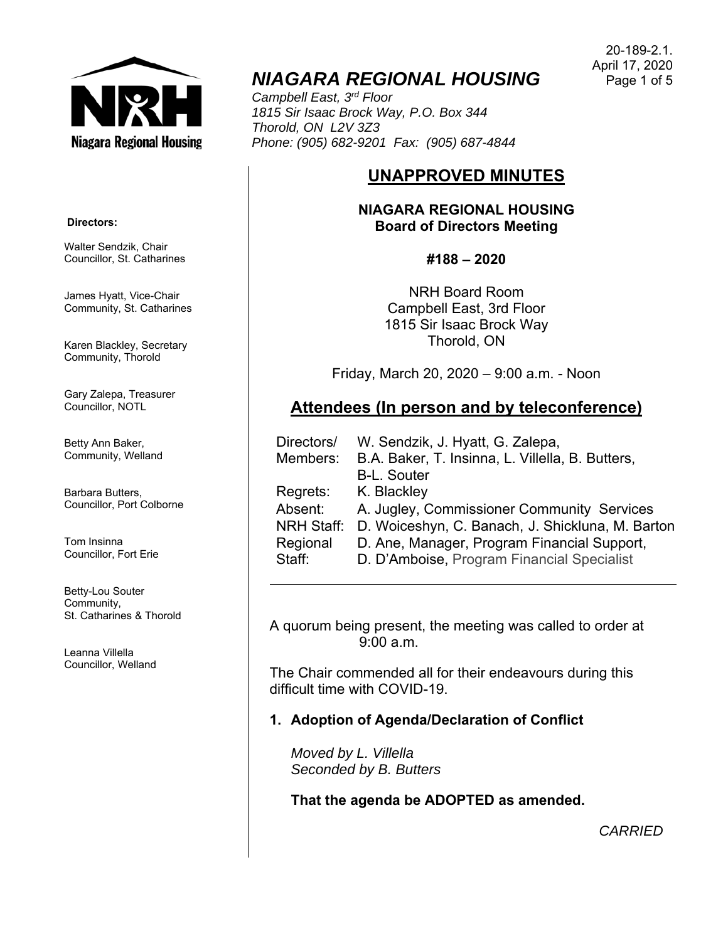**Niagara Regional Housing** 

# *NIAGARA REGIONAL HOUSING*

*Campbell East, 3rd Floor 1815 Sir Isaac Brock Way, P.O. Box 344 Thorold, ON L2V 3Z3 Phone: (905) 682-9201 Fax: (905) 687-4844* 

## **UNAPPROVED MINUTES**

## **NIAGARA REGIONAL HOUSING Board of Directors Meeting**

**#188 – 2020** 

NRH Board Room Campbell East, 3rd Floor 1815 Sir Isaac Brock Way Thorold, ON

Friday, March 20, 2020 – 9:00 a.m. - Noon

## **Attendees (In person and by teleconference)**

| Directors/        | W. Sendzik, J. Hyatt, G. Zalepa,                 |
|-------------------|--------------------------------------------------|
| Members:          | B.A. Baker, T. Insinna, L. Villella, B. Butters, |
|                   | <b>B-L. Souter</b>                               |
| Regrets:          | K. Blackley                                      |
| Absent:           | A. Jugley, Commissioner Community Services       |
| <b>NRH Staff:</b> | D. Woiceshyn, C. Banach, J. Shickluna, M. Barton |
| Regional          | D. Ane, Manager, Program Financial Support,      |
| Staff:            | D. D'Amboise, Program Financial Specialist       |
|                   |                                                  |

A quorum being present, the meeting was called to order at 9:00 a.m.

The Chair commended all for their endeavours during this difficult time with COVID-19.

## **1. Adoption of Agenda/Declaration of Conflict**

*Moved by L. Villella Seconded by B. Butters* 

**That the agenda be ADOPTED as amended.** 

*CARRIED*

#### **Directors:**

Walter Sendzik, Chair Councillor, St. Catharines

James Hyatt, Vice-Chair Community, St. Catharines

Karen Blackley, Secretary Community, Thorold

Gary Zalepa, Treasurer Councillor, NOTL

Betty Ann Baker, Community, Welland

Barbara Butters, Councillor, Port Colborne

Tom Insinna Councillor, Fort Erie

Betty-Lou Souter Community, St. Catharines & Thorold

Leanna Villella Councillor, Welland

20-189-2.1. April 17, 2020 Page 1 of 5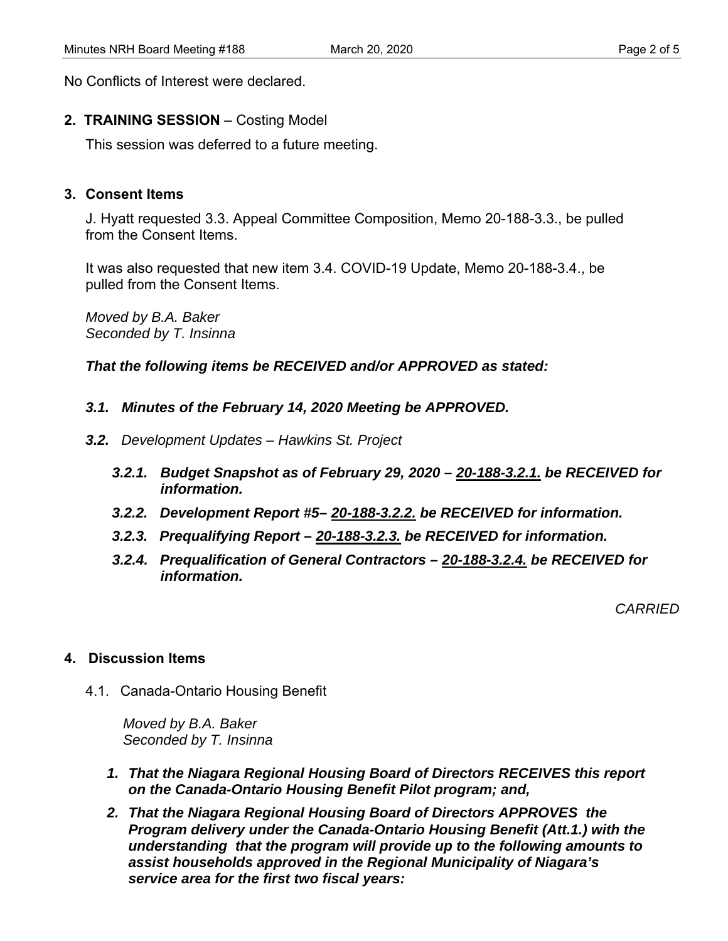No Conflicts of Interest were declared.

## **2. TRAINING SESSION** – Costing Model

This session was deferred to a future meeting.

## **3. Consent Items**

J. Hyatt requested 3.3. Appeal Committee Composition, Memo 20-188-3.3., be pulled from the Consent Items.

It was also requested that new item 3.4. COVID-19 Update, Memo 20-188-3.4., be pulled from the Consent Items.

*Moved by B.A. Baker Seconded by T. Insinna* 

*That the following items be RECEIVED and/or APPROVED as stated:* 

- *3.1. Minutes of the February 14, 2020 Meeting be APPROVED.*
- *3.2. Development Updates Hawkins St. Project* 
	- *3.2.1. Budget Snapshot as of February 29, 2020 20-188-3.2.1. be RECEIVED for information.*
	- *3.2.2. Development Report #5– 20-188-3.2.2. be RECEIVED for information.*
	- *3.2.3. Prequalifying Report 20-188-3.2.3. be RECEIVED for information.*
	- *3.2.4. Prequalification of General Contractors 20-188-3.2.4. be RECEIVED for information.*

*CARRIED* 

## **4. Discussion Items**

4.1. Canada-Ontario Housing Benefit

*Moved by B.A. Baker Seconded by T. Insinna* 

- *1. That the Niagara Regional Housing Board of Directors RECEIVES this report on the Canada-Ontario Housing Benefit Pilot program; and,*
- *2. That the Niagara Regional Housing Board of Directors APPROVES the Program delivery under the Canada-Ontario Housing Benefit (Att.1.) with the understanding that the program will provide up to the following amounts to assist households approved in the Regional Municipality of Niagara's service area for the first two fiscal years:*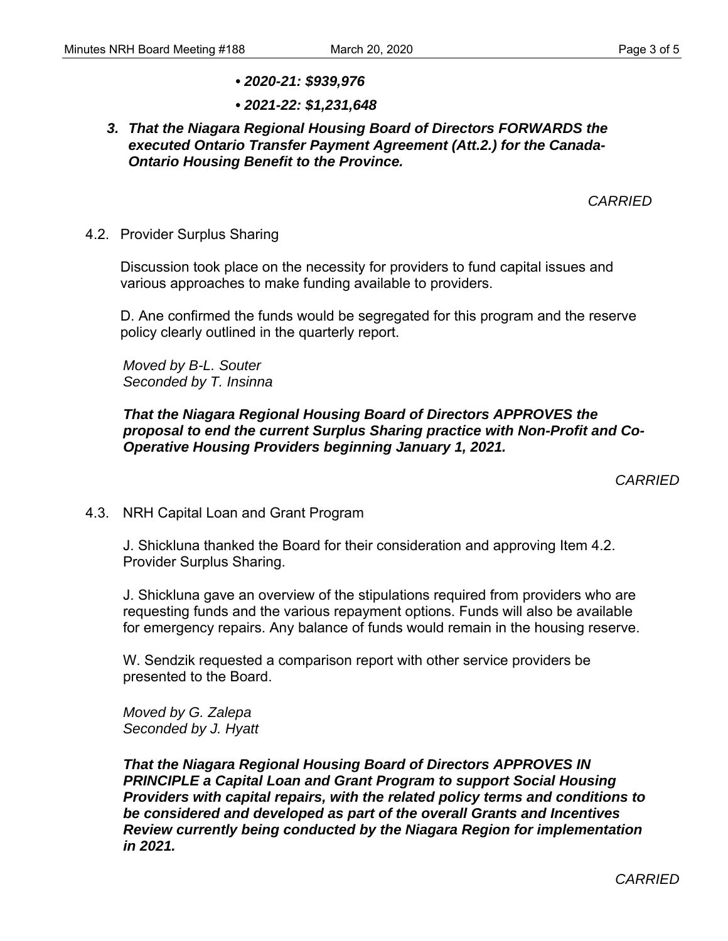- *2020-21: \$939,976*
- *2021-22: \$1,231,648*

## *3. That the Niagara Regional Housing Board of Directors FORWARDS the executed Ontario Transfer Payment Agreement (Att.2.) for the Canada-Ontario Housing Benefit to the Province.*

*CARRIED* 

### 4.2. Provider Surplus Sharing

 Discussion took place on the necessity for providers to fund capital issues and various approaches to make funding available to providers.

 D. Ane confirmed the funds would be segregated for this program and the reserve policy clearly outlined in the quarterly report.

*Moved by B-L. Souter Seconded by T. Insinna* 

## *That the Niagara Regional Housing Board of Directors APPROVES the proposal to end the current Surplus Sharing practice with Non-Profit and Co-Operative Housing Providers beginning January 1, 2021.*

*CARRIED* 

## 4.3. NRH Capital Loan and Grant Program

J. Shickluna thanked the Board for their consideration and approving Item 4.2. Provider Surplus Sharing.

J. Shickluna gave an overview of the stipulations required from providers who are requesting funds and the various repayment options. Funds will also be available for emergency repairs. Any balance of funds would remain in the housing reserve.

W. Sendzik requested a comparison report with other service providers be presented to the Board.

*Moved by G. Zalepa Seconded by J. Hyatt* 

*That the Niagara Regional Housing Board of Directors APPROVES IN PRINCIPLE a Capital Loan and Grant Program to support Social Housing Providers with capital repairs, with the related policy terms and conditions to be considered and developed as part of the overall Grants and Incentives Review currently being conducted by the Niagara Region for implementation in 2021.*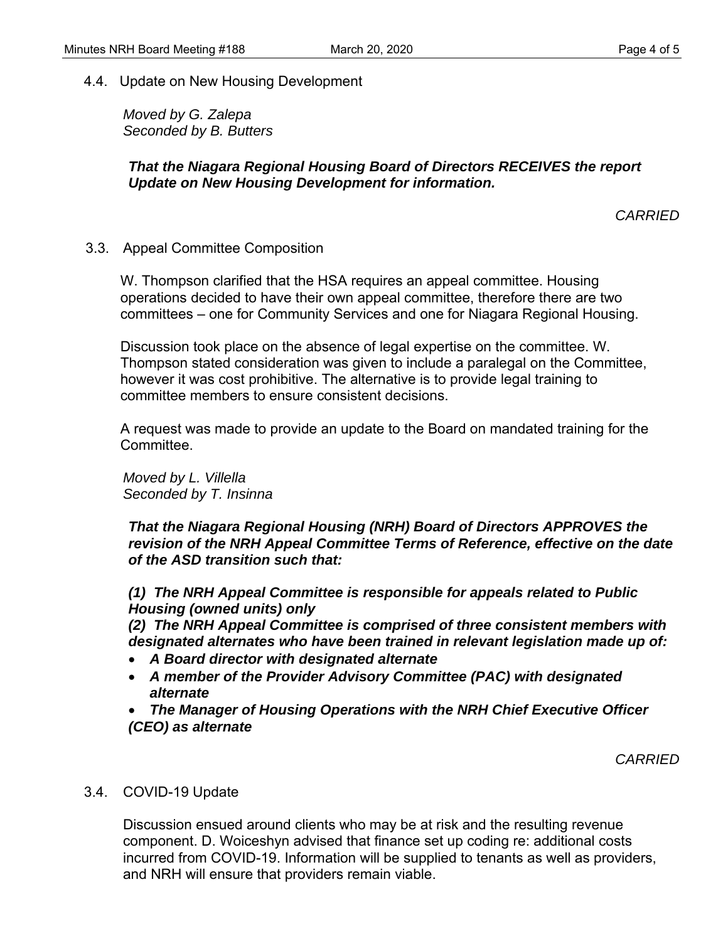4.4. Update on New Housing Development

*Moved by G. Zalepa Seconded by B. Butters* 

## *That the Niagara Regional Housing Board of Directors RECEIVES the report Update on New Housing Development for information.*

*CARRIED* 

3.3. Appeal Committee Composition

 W. Thompson clarified that the HSA requires an appeal committee. Housing operations decided to have their own appeal committee, therefore there are two committees – one for Community Services and one for Niagara Regional Housing.

 Discussion took place on the absence of legal expertise on the committee. W. Thompson stated consideration was given to include a paralegal on the Committee, however it was cost prohibitive. The alternative is to provide legal training to committee members to ensure consistent decisions.

 A request was made to provide an update to the Board on mandated training for the Committee.

*Moved by L. Villella Seconded by T. Insinna* 

*That the Niagara Regional Housing (NRH) Board of Directors APPROVES the revision of the NRH Appeal Committee Terms of Reference, effective on the date of the ASD transition such that:* 

*(1) The NRH Appeal Committee is responsible for appeals related to Public Housing (owned units) only* 

*(2) The NRH Appeal Committee is comprised of three consistent members with designated alternates who have been trained in relevant legislation made up of:* 

- *A Board director with designated alternate*
- *A member of the Provider Advisory Committee (PAC) with designated alternate*

 *The Manager of Housing Operations with the NRH Chief Executive Officer (CEO) as alternate* 

*CARRIED* 

## 3.4. COVID-19 Update

Discussion ensued around clients who may be at risk and the resulting revenue component. D. Woiceshyn advised that finance set up coding re: additional costs incurred from COVID-19. Information will be supplied to tenants as well as providers, and NRH will ensure that providers remain viable.